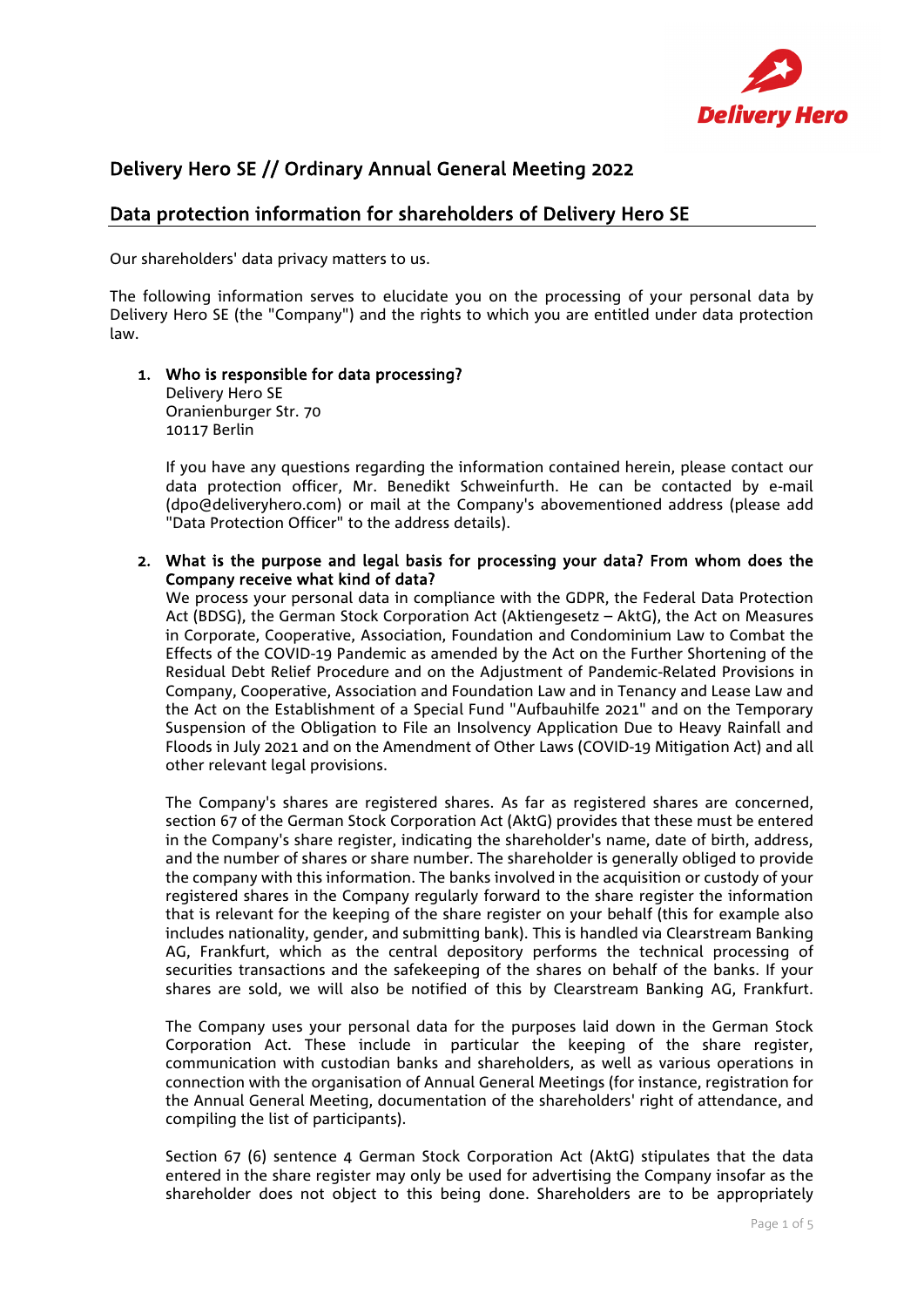

# Delivery Hero SE // Ordinary Annual General Meeting 2022

## Data protection information for shareholders of Delivery Hero SE

Our shareholders' data privacy matters to us.

The following information serves to elucidate you on the processing of your personal data by Delivery Hero SE (the "Company") and the rights to which you are entitled under data protection law.

#### 1. Who is responsible for data processing? Delivery Hero SE

Oranienburger Str. 70 10117 Berlin

If you have any questions regarding the information contained herein, please contact our data protection officer, Mr. Benedikt Schweinfurth. He can be contacted by e-mail (dpo@deliveryhero.com) or mail at the Company's abovementioned address (please add "Data Protection Officer" to the address details).

2. What is the purpose and legal basis for processing your data? From whom does the Company receive what kind of data?

We process your personal data in compliance with the GDPR, the Federal Data Protection Act (BDSG), the German Stock Corporation Act (Aktiengesetz – AktG), the Act on Measures in Corporate, Cooperative, Association, Foundation and Condominium Law to Combat the Effects of the COVID-19 Pandemic as amended by the Act on the Further Shortening of the Residual Debt Relief Procedure and on the Adjustment of Pandemic-Related Provisions in Company, Cooperative, Association and Foundation Law and in Tenancy and Lease Law and the Act on the Establishment of a Special Fund "Aufbauhilfe 2021" and on the Temporary Suspension of the Obligation to File an Insolvency Application Due to Heavy Rainfall and Floods in July 2021 and on the Amendment of Other Laws (COVID-19 Mitigation Act) and all other relevant legal provisions.

The Company's shares are registered shares. As far as registered shares are concerned, section 67 of the German Stock Corporation Act (AktG) provides that these must be entered in the Company's share register, indicating the shareholder's name, date of birth, address, and the number of shares or share number. The shareholder is generally obliged to provide the company with this information. The banks involved in the acquisition or custody of your registered shares in the Company regularly forward to the share register the information that is relevant for the keeping of the share register on your behalf (this for example also includes nationality, gender, and submitting bank). This is handled via Clearstream Banking AG, Frankfurt, which as the central depository performs the technical processing of securities transactions and the safekeeping of the shares on behalf of the banks. If your shares are sold, we will also be notified of this by Clearstream Banking AG, Frankfurt.

The Company uses your personal data for the purposes laid down in the German Stock Corporation Act. These include in particular the keeping of the share register, communication with custodian banks and shareholders, as well as various operations in connection with the organisation of Annual General Meetings (for instance, registration for the Annual General Meeting, documentation of the shareholders' right of attendance, and compiling the list of participants).

Section 67 (6) sentence 4 German Stock Corporation Act (AktG) stipulates that the data entered in the share register may only be used for advertising the Company insofar as the shareholder does not object to this being done. Shareholders are to be appropriately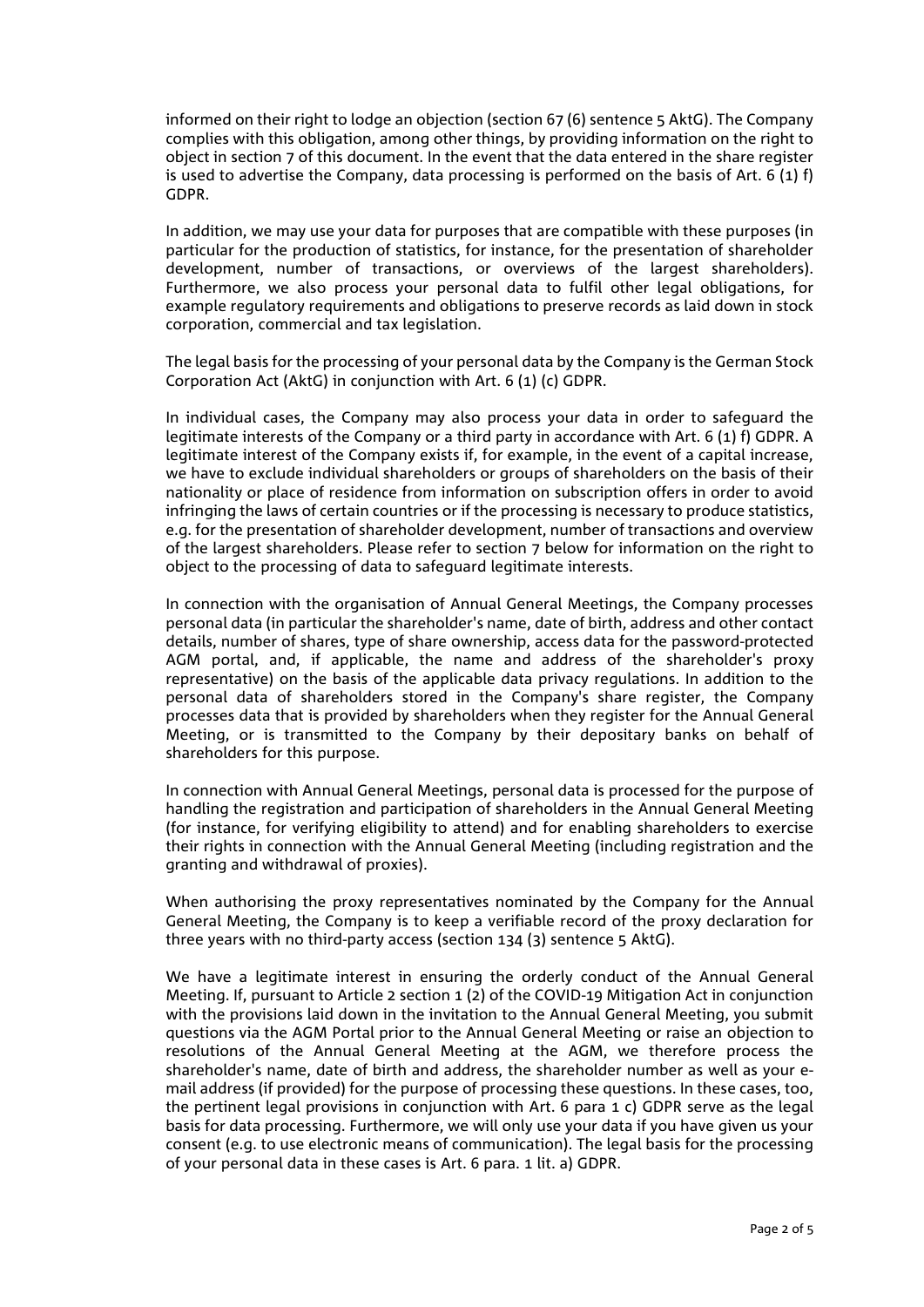informed on their right to lodge an objection (section 67 (6) sentence 5 AktG). The Company complies with this obligation, among other things, by providing information on the right to object in section 7 of this document. In the event that the data entered in the share register is used to advertise the Company, data processing is performed on the basis of Art. 6 (1) f) GDPR.

In addition, we may use your data for purposes that are compatible with these purposes (in particular for the production of statistics, for instance, for the presentation of shareholder development, number of transactions, or overviews of the largest shareholders). Furthermore, we also process your personal data to fulfil other legal obligations, for example regulatory requirements and obligations to preserve records as laid down in stock corporation, commercial and tax legislation.

The legal basis for the processing of your personal data by the Company is the German Stock Corporation Act (AktG) in conjunction with Art. 6 (1) (c) GDPR.

In individual cases, the Company may also process your data in order to safeguard the legitimate interests of the Company or a third party in accordance with Art. 6 (1) f) GDPR. A legitimate interest of the Company exists if, for example, in the event of a capital increase, we have to exclude individual shareholders or groups of shareholders on the basis of their nationality or place of residence from information on subscription offers in order to avoid infringing the laws of certain countries or if the processing is necessary to produce statistics, e.g. for the presentation of shareholder development, number of transactions and overview of the largest shareholders. Please refer to section 7 below for information on the right to object to the processing of data to safeguard legitimate interests.

In connection with the organisation of Annual General Meetings, the Company processes personal data (in particular the shareholder's name, date of birth, address and other contact details, number of shares, type of share ownership, access data for the password-protected AGM portal, and, if applicable, the name and address of the shareholder's proxy representative) on the basis of the applicable data privacy regulations. In addition to the personal data of shareholders stored in the Company's share register, the Company processes data that is provided by shareholders when they register for the Annual General Meeting, or is transmitted to the Company by their depositary banks on behalf of shareholders for this purpose.

In connection with Annual General Meetings, personal data is processed for the purpose of handling the registration and participation of shareholders in the Annual General Meeting (for instance, for verifying eligibility to attend) and for enabling shareholders to exercise their rights in connection with the Annual General Meeting (including registration and the granting and withdrawal of proxies).

When authorising the proxy representatives nominated by the Company for the Annual General Meeting, the Company is to keep a verifiable record of the proxy declaration for three years with no third-party access (section 134 (3) sentence 5 AktG).

We have a legitimate interest in ensuring the orderly conduct of the Annual General Meeting. If, pursuant to Article 2 section 1 (2) of the COVID-19 Mitigation Act in conjunction with the provisions laid down in the invitation to the Annual General Meeting, you submit questions via the AGM Portal prior to the Annual General Meeting or raise an objection to resolutions of the Annual General Meeting at the AGM, we therefore process the shareholder's name, date of birth and address, the shareholder number as well as your email address (if provided) for the purpose of processing these questions. In these cases, too, the pertinent legal provisions in conjunction with Art. 6 para 1 c) GDPR serve as the legal basis for data processing. Furthermore, we will only use your data if you have given us your consent (e.g. to use electronic means of communication). The legal basis for the processing of your personal data in these cases is Art. 6 para. 1 lit. a) GDPR.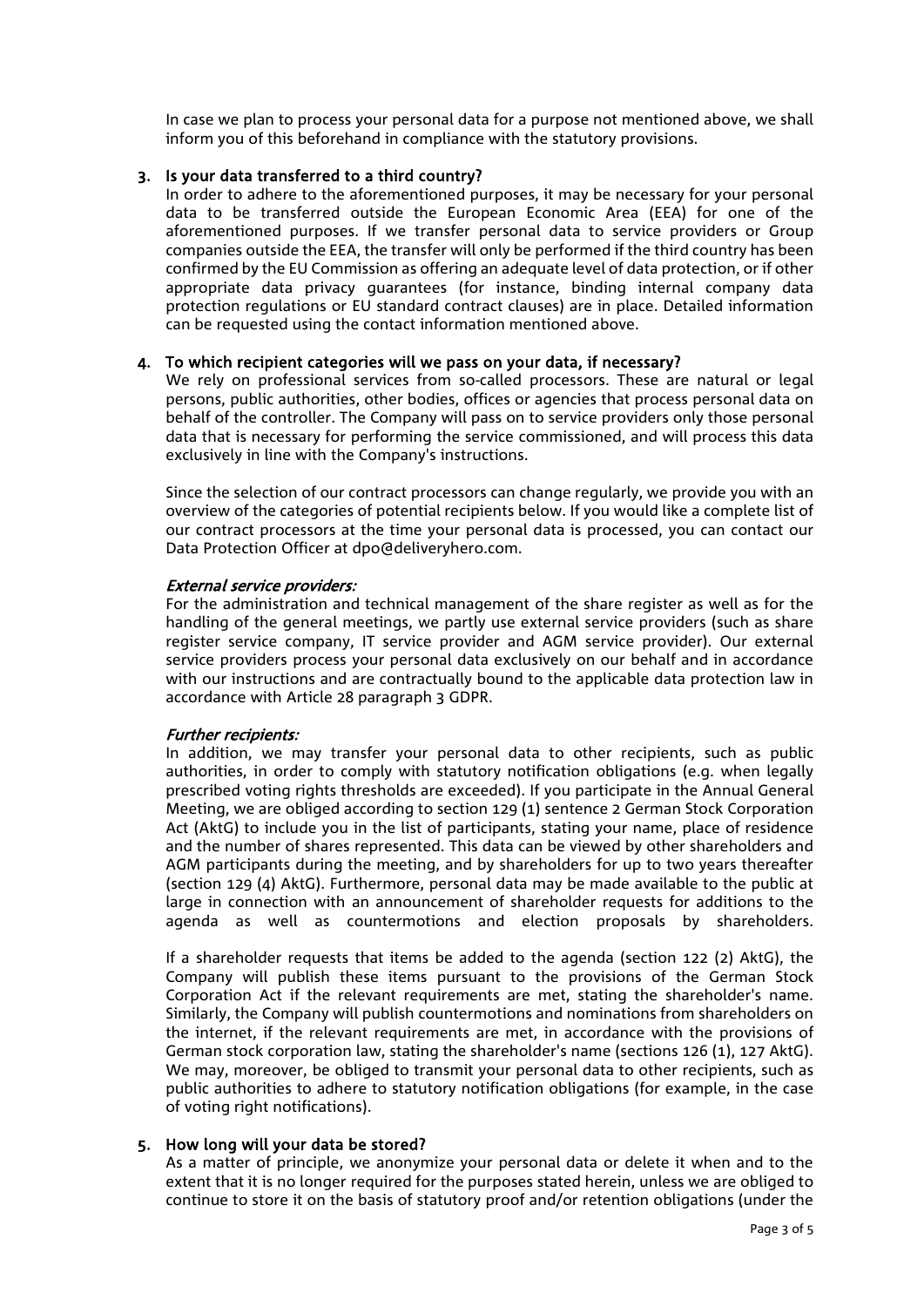In case we plan to process your personal data for a purpose not mentioned above, we shall inform you of this beforehand in compliance with the statutory provisions.

## 3. Is your data transferred to a third country?

In order to adhere to the aforementioned purposes, it may be necessary for your personal data to be transferred outside the European Economic Area (EEA) for one of the aforementioned purposes. If we transfer personal data to service providers or Group companies outside the EEA, the transfer will only be performed if the third country has been confirmed by the EU Commission as offering an adequate level of data protection, or if other appropriate data privacy guarantees (for instance, binding internal company data protection regulations or EU standard contract clauses) are in place. Detailed information can be requested using the contact information mentioned above.

## 4. To which recipient categories will we pass on your data, if necessary?

We rely on professional services from so-called processors. These are natural or legal persons, public authorities, other bodies, offices or agencies that process personal data on behalf of the controller. The Company will pass on to service providers only those personal data that is necessary for performing the service commissioned, and will process this data exclusively in line with the Company's instructions.

Since the selection of our contract processors can change regularly, we provide you with an overview of the categories of potential recipients below. If you would like a complete list of our contract processors at the time your personal data is processed, you can contact our Data Protection Officer at dpo@deliveryhero.com.

## External service providers:

For the administration and technical management of the share register as well as for the handling of the general meetings, we partly use external service providers (such as share register service company, IT service provider and AGM service provider). Our external service providers process your personal data exclusively on our behalf and in accordance with our instructions and are contractually bound to the applicable data protection law in accordance with Article 28 paragraph 3 GDPR.

## Further recipients:

In addition, we may transfer your personal data to other recipients, such as public authorities, in order to comply with statutory notification obligations (e.g. when legally prescribed voting rights thresholds are exceeded). If you participate in the Annual General Meeting, we are obliged according to section 129 (1) sentence 2 German Stock Corporation Act (AktG) to include you in the list of participants, stating your name, place of residence and the number of shares represented. This data can be viewed by other shareholders and AGM participants during the meeting, and by shareholders for up to two years thereafter (section 129 (4) AktG). Furthermore, personal data may be made available to the public at large in connection with an announcement of shareholder requests for additions to the agenda as well as countermotions and election proposals by shareholders.

If a shareholder requests that items be added to the agenda (section 122 (2) AktG), the Company will publish these items pursuant to the provisions of the German Stock Corporation Act if the relevant requirements are met, stating the shareholder's name. Similarly, the Company will publish countermotions and nominations from shareholders on the internet, if the relevant requirements are met, in accordance with the provisions of German stock corporation law, stating the shareholder's name (sections 126 (1), 127 AktG). We may, moreover, be obliged to transmit your personal data to other recipients, such as public authorities to adhere to statutory notification obligations (for example, in the case of voting right notifications).

## 5. How long will your data be stored?

As a matter of principle, we anonymize your personal data or delete it when and to the extent that it is no longer required for the purposes stated herein, unless we are obliged to continue to store it on the basis of statutory proof and/or retention obligations (under the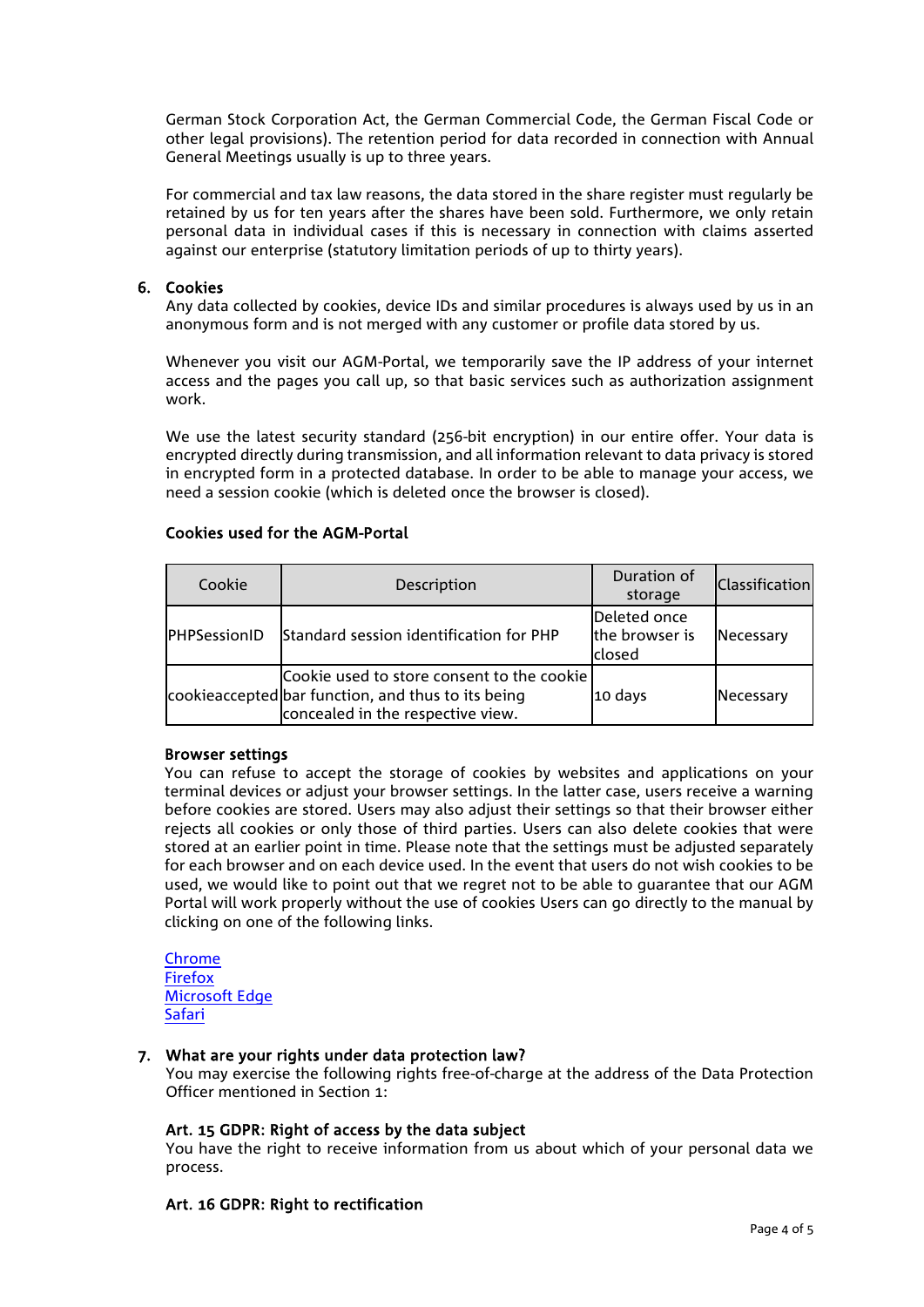German Stock Corporation Act, the German Commercial Code, the German Fiscal Code or other legal provisions). The retention period for data recorded in connection with Annual General Meetings usually is up to three years.

For commercial and tax law reasons, the data stored in the share register must regularly be retained by us for ten years after the shares have been sold. Furthermore, we only retain personal data in individual cases if this is necessary in connection with claims asserted against our enterprise (statutory limitation periods of up to thirty years).

## 6. Cookies

Any data collected by cookies, device IDs and similar procedures is always used by us in an anonymous form and is not merged with any customer or profile data stored by us.

Whenever you visit our AGM-Portal, we temporarily save the IP address of your internet access and the pages you call up, so that basic services such as authorization assignment work.

We use the latest security standard (256-bit encryption) in our entire offer. Your data is encrypted directly during transmission, and all information relevant to data privacy is stored in encrypted form in a protected database. In order to be able to manage your access, we need a session cookie (which is deleted once the browser is closed).

## Cookies used for the AGM-Portal

| Cookie       | Description                                                                                                                           | Duration of<br>storage                    | <b>Classification</b> |
|--------------|---------------------------------------------------------------------------------------------------------------------------------------|-------------------------------------------|-----------------------|
| PHPSessionID | Standard session identification for PHP                                                                                               | Deleted once<br>the browser is<br>lclosed | Necessary             |
|              | Cookie used to store consent to the cookie<br>cookieaccepted bar function, and thus to its being<br>concealed in the respective view. | 10 days                                   | Necessary             |

#### Browser settings

You can refuse to accept the storage of cookies by websites and applications on your terminal devices or adjust your browser settings. In the latter case, users receive a warning before cookies are stored. Users may also adjust their settings so that their browser either rejects all cookies or only those of third parties. Users can also delete cookies that were stored at an earlier point in time. Please note that the settings must be adjusted separately for each browser and on each device used. In the event that users do not wish cookies to be used, we would like to point out that we regret not to be able to guarantee that our AGM Portal will work properly without the use of cookies Users can go directly to the manual by clicking on one of the following links.

[Chrome](https://support.google.com/chrome/answer/95647?hl=de) [Firefox](https://support.mozilla.org/de/kb/vergessen-schaltflaeche-in-firefox) [Microsoft](https://support.microsoft.com/de-de/help/4468242/microsoft-edge-browsing-data-and-privacy-microsoft-privacy) Edge [Safari](https://support.apple.com/de-de/guide/safari/manage-website-notifications-sfri40734/mac)

## 7. What are your rights under data protection law?

You may exercise the following rights free-of-charge at the address of the Data Protection Officer mentioned in Section 1:

## Art. 15 GDPR: Right of access by the data subject

You have the right to receive information from us about which of your personal data we process.

#### Art. 16 GDPR: Right to rectification